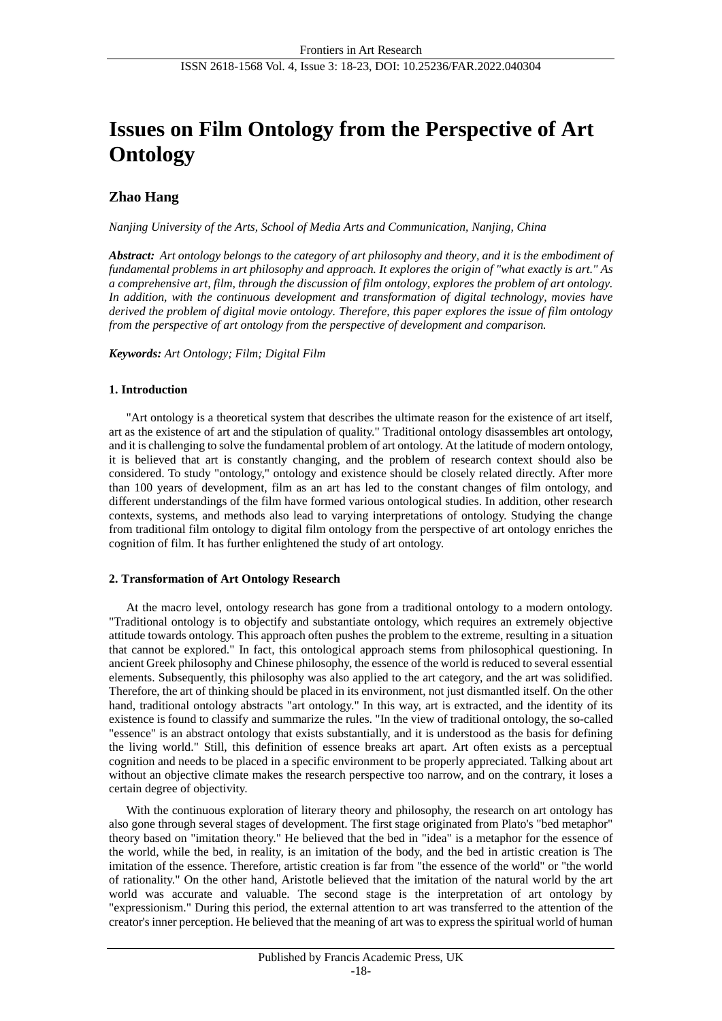# **Issues on Film Ontology from the Perspective of Art Ontology**

# **Zhao Hang**

*Nanjing University of the Arts, School of Media Arts and Communication, Nanjing, China*

*Abstract: Art ontology belongs to the category of art philosophy and theory, and it is the embodiment of fundamental problems in art philosophy and approach. It explores the origin of "what exactly is art." As a comprehensive art, film, through the discussion of film ontology, explores the problem of art ontology. In addition, with the continuous development and transformation of digital technology, movies have derived the problem of digital movie ontology. Therefore, this paper explores the issue of film ontology from the perspective of art ontology from the perspective of development and comparison.*

# *Keywords: Art Ontology; Film; Digital Film*

# **1. Introduction**

"Art ontology is a theoretical system that describes the ultimate reason for the existence of art itself, art as the existence of art and the stipulation of quality." Traditional ontology disassembles art ontology, and it is challenging to solve the fundamental problem of art ontology. At the latitude of modern ontology, it is believed that art is constantly changing, and the problem of research context should also be considered. To study "ontology," ontology and existence should be closely related directly. After more than 100 years of development, film as an art has led to the constant changes of film ontology, and different understandings of the film have formed various ontological studies. In addition, other research contexts, systems, and methods also lead to varying interpretations of ontology. Studying the change from traditional film ontology to digital film ontology from the perspective of art ontology enriches the cognition of film. It has further enlightened the study of art ontology.

# **2. Transformation of Art Ontology Research**

At the macro level, ontology research has gone from a traditional ontology to a modern ontology. "Traditional ontology is to objectify and substantiate ontology, which requires an extremely objective attitude towards ontology. This approach often pushes the problem to the extreme, resulting in a situation that cannot be explored." In fact, this ontological approach stems from philosophical questioning. In ancient Greek philosophy and Chinese philosophy, the essence of the world is reduced to several essential elements. Subsequently, this philosophy was also applied to the art category, and the art was solidified. Therefore, the art of thinking should be placed in its environment, not just dismantled itself. On the other hand, traditional ontology abstracts "art ontology." In this way, art is extracted, and the identity of its existence is found to classify and summarize the rules. "In the view of traditional ontology, the so-called "essence" is an abstract ontology that exists substantially, and it is understood as the basis for defining the living world." Still, this definition of essence breaks art apart. Art often exists as a perceptual cognition and needs to be placed in a specific environment to be properly appreciated. Talking about art without an objective climate makes the research perspective too narrow, and on the contrary, it loses a certain degree of objectivity.

With the continuous exploration of literary theory and philosophy, the research on art ontology has also gone through several stages of development. The first stage originated from Plato's "bed metaphor" theory based on "imitation theory." He believed that the bed in "idea" is a metaphor for the essence of the world, while the bed, in reality, is an imitation of the body, and the bed in artistic creation is The imitation of the essence. Therefore, artistic creation is far from "the essence of the world" or "the world of rationality." On the other hand, Aristotle believed that the imitation of the natural world by the art world was accurate and valuable. The second stage is the interpretation of art ontology by "expressionism." During this period, the external attention to art was transferred to the attention of the creator's inner perception. He believed that the meaning of art was to express the spiritual world of human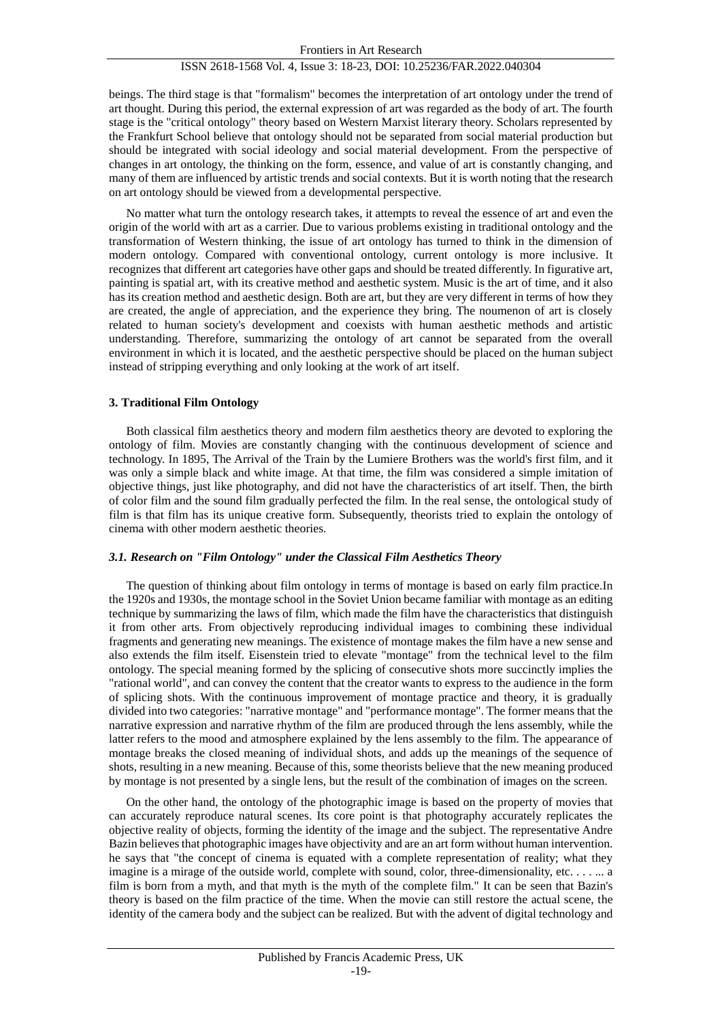beings. The third stage is that "formalism" becomes the interpretation of art ontology under the trend of art thought. During this period, the external expression of art was regarded as the body of art. The fourth stage is the "critical ontology" theory based on Western Marxist literary theory. Scholars represented by the Frankfurt School believe that ontology should not be separated from social material production but should be integrated with social ideology and social material development. From the perspective of changes in art ontology, the thinking on the form, essence, and value of art is constantly changing, and many of them are influenced by artistic trends and social contexts. But it is worth noting that the research on art ontology should be viewed from a developmental perspective.

No matter what turn the ontology research takes, it attempts to reveal the essence of art and even the origin of the world with art as a carrier. Due to various problems existing in traditional ontology and the transformation of Western thinking, the issue of art ontology has turned to think in the dimension of modern ontology. Compared with conventional ontology, current ontology is more inclusive. It recognizes that different art categories have other gaps and should be treated differently. In figurative art, painting is spatial art, with its creative method and aesthetic system. Music is the art of time, and it also has its creation method and aesthetic design. Both are art, but they are very different in terms of how they are created, the angle of appreciation, and the experience they bring. The noumenon of art is closely related to human society's development and coexists with human aesthetic methods and artistic understanding. Therefore, summarizing the ontology of art cannot be separated from the overall environment in which it is located, and the aesthetic perspective should be placed on the human subject instead of stripping everything and only looking at the work of art itself.

# **3. Traditional Film Ontology**

Both classical film aesthetics theory and modern film aesthetics theory are devoted to exploring the ontology of film. Movies are constantly changing with the continuous development of science and technology. In 1895, The Arrival of the Train by the Lumiere Brothers was the world's first film, and it was only a simple black and white image. At that time, the film was considered a simple imitation of objective things, just like photography, and did not have the characteristics of art itself. Then, the birth of color film and the sound film gradually perfected the film. In the real sense, the ontological study of film is that film has its unique creative form. Subsequently, theorists tried to explain the ontology of cinema with other modern aesthetic theories.

# *3.1. Research on "Film Ontology" under the Classical Film Aesthetics Theory*

The question of thinking about film ontology in terms of montage is based on early film practice.In the 1920s and 1930s, the montage school in the Soviet Union became familiar with montage as an editing technique by summarizing the laws of film, which made the film have the characteristics that distinguish it from other arts. From objectively reproducing individual images to combining these individual fragments and generating new meanings. The existence of montage makes the film have a new sense and also extends the film itself. Eisenstein tried to elevate "montage" from the technical level to the film ontology. The special meaning formed by the splicing of consecutive shots more succinctly implies the "rational world", and can convey the content that the creator wants to express to the audience in the form of splicing shots. With the continuous improvement of montage practice and theory, it is gradually divided into two categories: "narrative montage" and "performance montage". The former means that the narrative expression and narrative rhythm of the film are produced through the lens assembly, while the latter refers to the mood and atmosphere explained by the lens assembly to the film. The appearance of montage breaks the closed meaning of individual shots, and adds up the meanings of the sequence of shots, resulting in a new meaning. Because of this, some theorists believe that the new meaning produced by montage is not presented by a single lens, but the result of the combination of images on the screen.

On the other hand, the ontology of the photographic image is based on the property of movies that can accurately reproduce natural scenes. Its core point is that photography accurately replicates the objective reality of objects, forming the identity of the image and the subject. The representative Andre Bazin believes that photographic images have objectivity and are an art form without human intervention. he says that "the concept of cinema is equated with a complete representation of reality; what they imagine is a mirage of the outside world, complete with sound, color, three-dimensionality, etc. . . . . . . a film is born from a myth, and that myth is the myth of the complete film." It can be seen that Bazin's theory is based on the film practice of the time. When the movie can still restore the actual scene, the identity of the camera body and the subject can be realized. But with the advent of digital technology and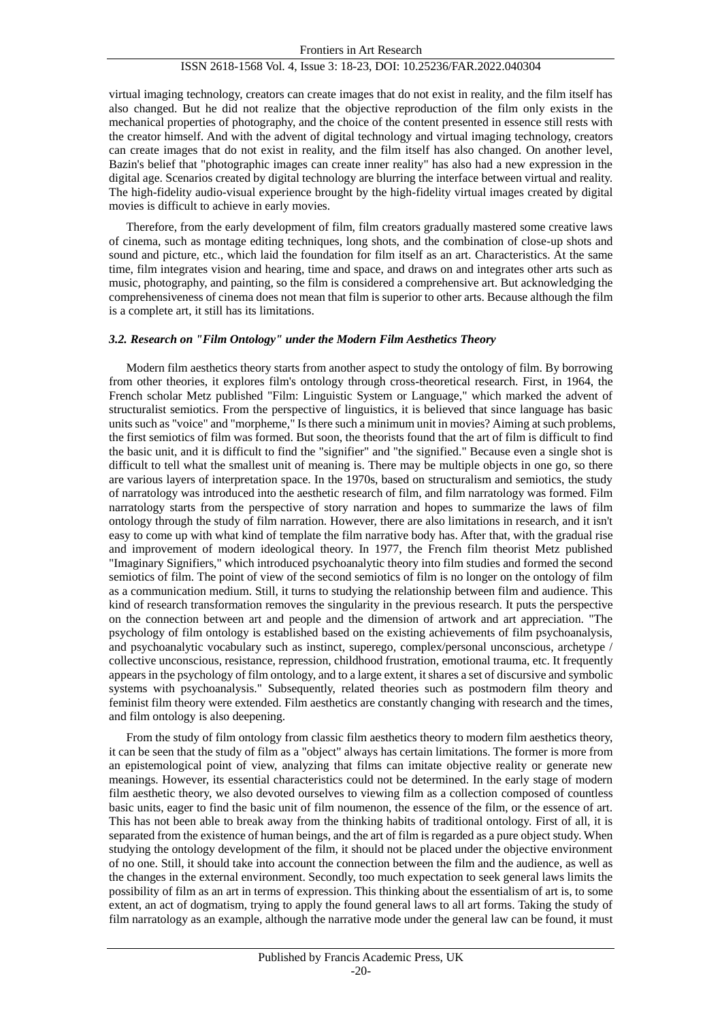#### Frontiers in Art Research

# ISSN 2618-1568 Vol. 4, Issue 3: 18-23, DOI: 10.25236/FAR.2022.040304

virtual imaging technology, creators can create images that do not exist in reality, and the film itself has also changed. But he did not realize that the objective reproduction of the film only exists in the mechanical properties of photography, and the choice of the content presented in essence still rests with the creator himself. And with the advent of digital technology and virtual imaging technology, creators can create images that do not exist in reality, and the film itself has also changed. On another level, Bazin's belief that "photographic images can create inner reality" has also had a new expression in the digital age. Scenarios created by digital technology are blurring the interface between virtual and reality. The high-fidelity audio-visual experience brought by the high-fidelity virtual images created by digital movies is difficult to achieve in early movies.

Therefore, from the early development of film, film creators gradually mastered some creative laws of cinema, such as montage editing techniques, long shots, and the combination of close-up shots and sound and picture, etc., which laid the foundation for film itself as an art. Characteristics. At the same time, film integrates vision and hearing, time and space, and draws on and integrates other arts such as music, photography, and painting, so the film is considered a comprehensive art. But acknowledging the comprehensiveness of cinema does not mean that film is superior to other arts. Because although the film is a complete art, it still has its limitations.

#### *3.2. Research on "Film Ontology" under the Modern Film Aesthetics Theory*

Modern film aesthetics theory starts from another aspect to study the ontology of film. By borrowing from other theories, it explores film's ontology through cross-theoretical research. First, in 1964, the French scholar Metz published "Film: Linguistic System or Language," which marked the advent of structuralist semiotics. From the perspective of linguistics, it is believed that since language has basic units such as "voice" and "morpheme," Is there such a minimum unit in movies? Aiming at such problems, the first semiotics of film was formed. But soon, the theorists found that the art of film is difficult to find the basic unit, and it is difficult to find the "signifier" and "the signified." Because even a single shot is difficult to tell what the smallest unit of meaning is. There may be multiple objects in one go, so there are various layers of interpretation space. In the 1970s, based on structuralism and semiotics, the study of narratology was introduced into the aesthetic research of film, and film narratology was formed. Film narratology starts from the perspective of story narration and hopes to summarize the laws of film ontology through the study of film narration. However, there are also limitations in research, and it isn't easy to come up with what kind of template the film narrative body has. After that, with the gradual rise and improvement of modern ideological theory. In 1977, the French film theorist Metz published "Imaginary Signifiers," which introduced psychoanalytic theory into film studies and formed the second semiotics of film. The point of view of the second semiotics of film is no longer on the ontology of film as a communication medium. Still, it turns to studying the relationship between film and audience. This kind of research transformation removes the singularity in the previous research. It puts the perspective on the connection between art and people and the dimension of artwork and art appreciation. "The psychology of film ontology is established based on the existing achievements of film psychoanalysis, and psychoanalytic vocabulary such as instinct, superego, complex/personal unconscious, archetype / collective unconscious, resistance, repression, childhood frustration, emotional trauma, etc. It frequently appears in the psychology of film ontology, and to a large extent, it shares a set of discursive and symbolic systems with psychoanalysis." Subsequently, related theories such as postmodern film theory and feminist film theory were extended. Film aesthetics are constantly changing with research and the times, and film ontology is also deepening.

From the study of film ontology from classic film aesthetics theory to modern film aesthetics theory, it can be seen that the study of film as a "object" always has certain limitations. The former is more from an epistemological point of view, analyzing that films can imitate objective reality or generate new meanings. However, its essential characteristics could not be determined. In the early stage of modern film aesthetic theory, we also devoted ourselves to viewing film as a collection composed of countless basic units, eager to find the basic unit of film noumenon, the essence of the film, or the essence of art. This has not been able to break away from the thinking habits of traditional ontology. First of all, it is separated from the existence of human beings, and the art of film is regarded as a pure object study. When studying the ontology development of the film, it should not be placed under the objective environment of no one. Still, it should take into account the connection between the film and the audience, as well as the changes in the external environment. Secondly, too much expectation to seek general laws limits the possibility of film as an art in terms of expression. This thinking about the essentialism of art is, to some extent, an act of dogmatism, trying to apply the found general laws to all art forms. Taking the study of film narratology as an example, although the narrative mode under the general law can be found, it must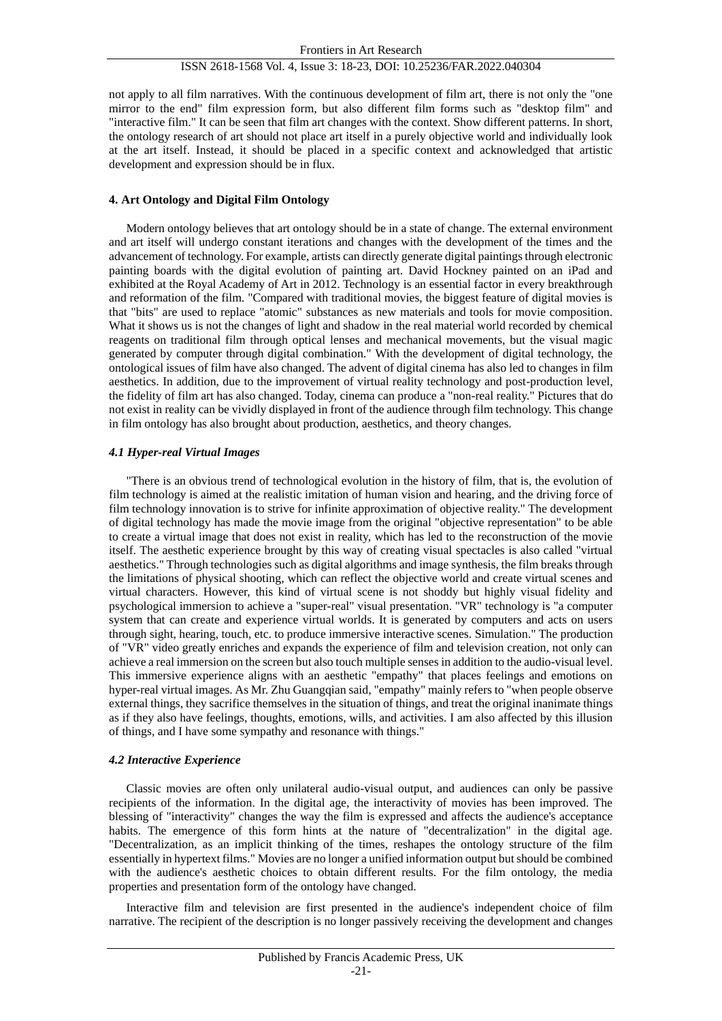not apply to all film narratives. With the continuous development of film art, there is not only the "one mirror to the end" film expression form, but also different film forms such as "desktop film" and "interactive film." It can be seen that film art changes with the context. Show different patterns. In short, the ontology research of art should not place art itself in a purely objective world and individually look at the art itself. Instead, it should be placed in a specific context and acknowledged that artistic development and expression should be in flux.

# **4. Art Ontology and Digital Film Ontology**

Modern ontology believes that art ontology should be in a state of change. The external environment and art itself will undergo constant iterations and changes with the development of the times and the advancement of technology. For example, artists can directly generate digital paintings through electronic painting boards with the digital evolution of painting art. David Hockney painted on an iPad and exhibited at the Royal Academy of Art in 2012. Technology is an essential factor in every breakthrough and reformation of the film. "Compared with traditional movies, the biggest feature of digital movies is that "bits" are used to replace "atomic" substances as new materials and tools for movie composition. What it shows us is not the changes of light and shadow in the real material world recorded by chemical reagents on traditional film through optical lenses and mechanical movements, but the visual magic generated by computer through digital combination." With the development of digital technology, the ontological issues of film have also changed. The advent of digital cinema has also led to changes in film aesthetics. In addition, due to the improvement of virtual reality technology and post-production level, the fidelity of film art has also changed. Today, cinema can produce a "non-real reality." Pictures that do not exist in reality can be vividly displayed in front of the audience through film technology. This change in film ontology has also brought about production, aesthetics, and theory changes.

# *4.1 Hyper-real Virtual Images*

"There is an obvious trend of technological evolution in the history of film, that is, the evolution of film technology is aimed at the realistic imitation of human vision and hearing, and the driving force of film technology innovation is to strive for infinite approximation of objective reality." The development of digital technology has made the movie image from the original "objective representation" to be able to create a virtual image that does not exist in reality, which has led to the reconstruction of the movie itself. The aesthetic experience brought by this way of creating visual spectacles is also called "virtual aesthetics." Through technologies such as digital algorithms and image synthesis, the film breaks through the limitations of physical shooting, which can reflect the objective world and create virtual scenes and virtual characters. However, this kind of virtual scene is not shoddy but highly visual fidelity and psychological immersion to achieve a "super-real" visual presentation. "VR" technology is "a computer system that can create and experience virtual worlds. It is generated by computers and acts on users through sight, hearing, touch, etc. to produce immersive interactive scenes. Simulation." The production of "VR" video greatly enriches and expands the experience of film and television creation, not only can achieve a real immersion on the screen but also touch multiple senses in addition to the audio-visual level. This immersive experience aligns with an aesthetic "empathy" that places feelings and emotions on hyper-real virtual images. As Mr. Zhu Guangqian said, "empathy" mainly refers to "when people observe external things, they sacrifice themselves in the situation of things, and treat the original inanimate things as if they also have feelings, thoughts, emotions, wills, and activities. I am also affected by this illusion of things, and I have some sympathy and resonance with things."

# *4.2 Interactive Experience*

Classic movies are often only unilateral audio-visual output, and audiences can only be passive recipients of the information. In the digital age, the interactivity of movies has been improved. The blessing of "interactivity" changes the way the film is expressed and affects the audience's acceptance habits. The emergence of this form hints at the nature of "decentralization" in the digital age. "Decentralization, as an implicit thinking of the times, reshapes the ontology structure of the film essentially in hypertext films." Movies are no longer a unified information output but should be combined with the audience's aesthetic choices to obtain different results. For the film ontology, the media properties and presentation form of the ontology have changed.

Interactive film and television are first presented in the audience's independent choice of film narrative. The recipient of the description is no longer passively receiving the development and changes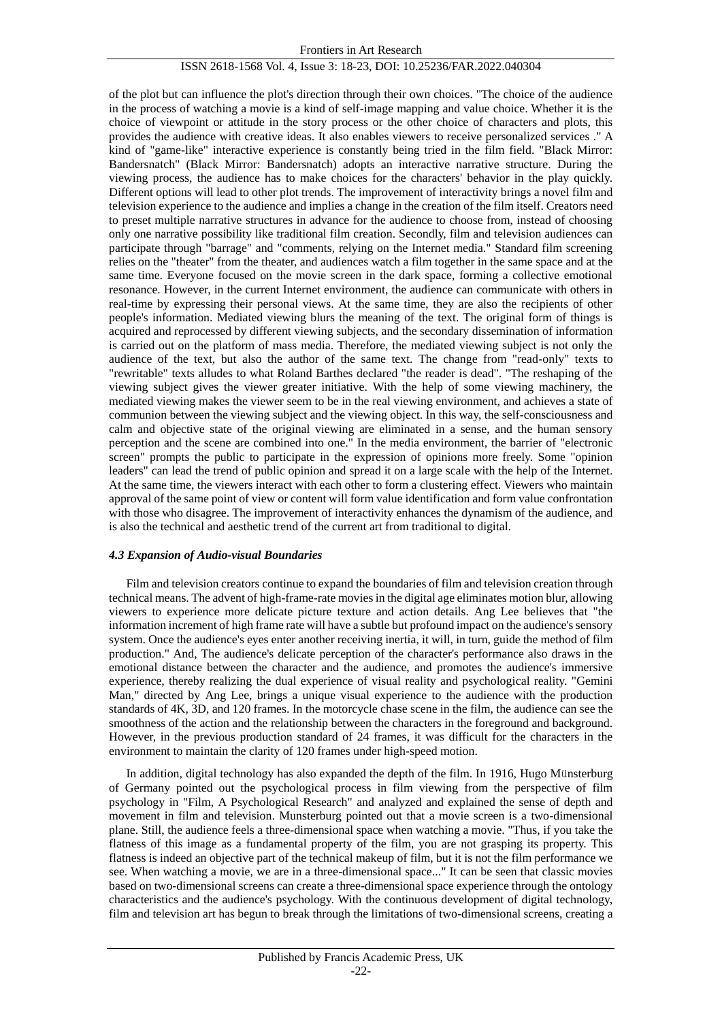of the plot but can influence the plot's direction through their own choices. "The choice of the audience in the process of watching a movie is a kind of self-image mapping and value choice. Whether it is the choice of viewpoint or attitude in the story process or the other choice of characters and plots, this provides the audience with creative ideas. It also enables viewers to receive personalized services ." A kind of "game-like" interactive experience is constantly being tried in the film field. "Black Mirror: Bandersnatch" (Black Mirror: Bandersnatch) adopts an interactive narrative structure. During the viewing process, the audience has to make choices for the characters' behavior in the play quickly. Different options will lead to other plot trends. The improvement of interactivity brings a novel film and television experience to the audience and implies a change in the creation of the film itself. Creators need to preset multiple narrative structures in advance for the audience to choose from, instead of choosing only one narrative possibility like traditional film creation. Secondly, film and television audiences can participate through "barrage" and "comments, relying on the Internet media." Standard film screening relies on the "theater" from the theater, and audiences watch a film together in the same space and at the same time. Everyone focused on the movie screen in the dark space, forming a collective emotional resonance. However, in the current Internet environment, the audience can communicate with others in real-time by expressing their personal views. At the same time, they are also the recipients of other people's information. Mediated viewing blurs the meaning of the text. The original form of things is acquired and reprocessed by different viewing subjects, and the secondary dissemination of information is carried out on the platform of mass media. Therefore, the mediated viewing subject is not only the audience of the text, but also the author of the same text. The change from "read-only" texts to "rewritable" texts alludes to what Roland Barthes declared "the reader is dead". "The reshaping of the viewing subject gives the viewer greater initiative. With the help of some viewing machinery, the mediated viewing makes the viewer seem to be in the real viewing environment, and achieves a state of communion between the viewing subject and the viewing object. In this way, the self-consciousness and calm and objective state of the original viewing are eliminated in a sense, and the human sensory perception and the scene are combined into one." In the media environment, the barrier of "electronic screen" prompts the public to participate in the expression of opinions more freely. Some "opinion leaders" can lead the trend of public opinion and spread it on a large scale with the help of the Internet. At the same time, the viewers interact with each other to form a clustering effect. Viewers who maintain approval of the same point of view or content will form value identification and form value confrontation with those who disagree. The improvement of interactivity enhances the dynamism of the audience, and is also the technical and aesthetic trend of the current art from traditional to digital.

# *4.3 Expansion of Audio-visual Boundaries*

Film and television creators continue to expand the boundaries of film and television creation through technical means. The advent of high-frame-rate movies in the digital age eliminates motion blur, allowing viewers to experience more delicate picture texture and action details. Ang Lee believes that "the information increment of high frame rate will have a subtle but profound impact on the audience's sensory system. Once the audience's eyes enter another receiving inertia, it will, in turn, guide the method of film production." And, The audience's delicate perception of the character's performance also draws in the emotional distance between the character and the audience, and promotes the audience's immersive experience, thereby realizing the dual experience of visual reality and psychological reality. "Gemini Man," directed by Ang Lee, brings a unique visual experience to the audience with the production standards of 4K, 3D, and 120 frames. In the motorcycle chase scene in the film, the audience can see the smoothness of the action and the relationship between the characters in the foreground and background. However, in the previous production standard of 24 frames, it was difficult for the characters in the environment to maintain the clarity of 120 frames under high-speed motion.

In addition, digital technology has also expanded the depth of the film. In 1916, Hugo Münsterburg of Germany pointed out the psychological process in film viewing from the perspective of film psychology in "Film, A Psychological Research" and analyzed and explained the sense of depth and movement in film and television. Munsterburg pointed out that a movie screen is a two-dimensional plane. Still, the audience feels a three-dimensional space when watching a movie. "Thus, if you take the flatness of this image as a fundamental property of the film, you are not grasping its property. This flatness is indeed an objective part of the technical makeup of film, but it is not the film performance we see. When watching a movie, we are in a three-dimensional space..." It can be seen that classic movies based on two-dimensional screens can create a three-dimensional space experience through the ontology characteristics and the audience's psychology. With the continuous development of digital technology, film and television art has begun to break through the limitations of two-dimensional screens, creating a